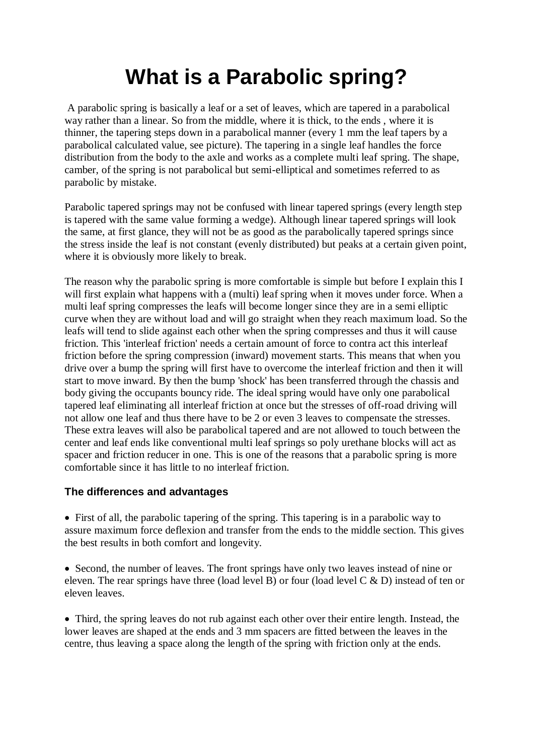## **What is a Parabolic spring?**

A parabolic spring is basically a leaf or a set of leaves, which are tapered in a parabolical way rather than a linear. So from the middle, where it is thick, to the ends , where it is thinner, the tapering steps down in a parabolical manner (every 1 mm the leaf tapers by a parabolical calculated value, see picture). The tapering in a single leaf handles the force distribution from the body to the axle and works as a complete multi leaf spring. The shape, camber, of the spring is not parabolical but semi-elliptical and sometimes referred to as parabolic by mistake.

Parabolic tapered springs may not be confused with linear tapered springs (every length step is tapered with the same value forming a wedge). Although linear tapered springs will look the same, at first glance, they will not be as good as the parabolically tapered springs since the stress inside the leaf is not constant (evenly distributed) but peaks at a certain given point, where it is obviously more likely to break.

The reason why the parabolic spring is more comfortable is simple but before I explain this I will first explain what happens with a (multi) leaf spring when it moves under force. When a multi leaf spring compresses the leafs will become longer since they are in a semi elliptic curve when they are without load and will go straight when they reach maximum load. So the leafs will tend to slide against each other when the spring compresses and thus it will cause friction. This 'interleaf friction' needs a certain amount of force to contra act this interleaf friction before the spring compression (inward) movement starts. This means that when you drive over a bump the spring will first have to overcome the interleaf friction and then it will start to move inward. By then the bump 'shock' has been transferred through the chassis and body giving the occupants bouncy ride. The ideal spring would have only one parabolical tapered leaf eliminating all interleaf friction at once but the stresses of off-road driving will not allow one leaf and thus there have to be 2 or even 3 leaves to compensate the stresses. These extra leaves will also be parabolical tapered and are not allowed to touch between the center and leaf ends like conventional multi leaf springs so poly urethane blocks will act as spacer and friction reducer in one. This is one of the reasons that a parabolic spring is more comfortable since it has little to no interleaf friction.

## **The differences and advantages**

 First of all, the parabolic tapering of the spring. This tapering is in a parabolic way to assure maximum force deflexion and transfer from the ends to the middle section. This gives the best results in both comfort and longevity.

• Second, the number of leaves. The front springs have only two leaves instead of nine or eleven. The rear springs have three (load level B) or four (load level C & D) instead of ten or eleven leaves.

 Third, the spring leaves do not rub against each other over their entire length. Instead, the lower leaves are shaped at the ends and 3 mm spacers are fitted between the leaves in the centre, thus leaving a space along the length of the spring with friction only at the ends.